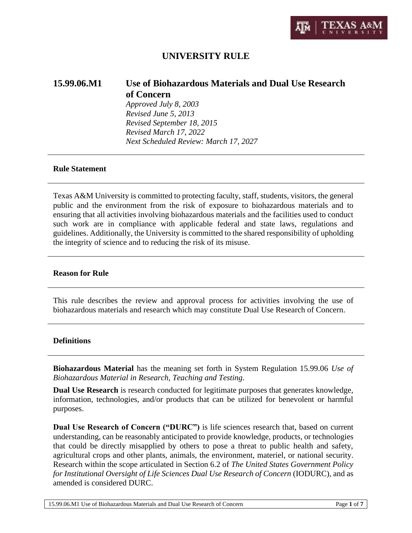

# **UNIVERSITY RULE**

# **15.99.06.M1 Use of Biohazardous Materials and Dual Use Research of Concern**

*Approved July 8, 2003 Revised June 5, 2013 Revised September 18, 2015 Revised March 17, 2022 Next Scheduled Review: March 17, 2027*

### **Rule Statement**

Texas A&M University is committed to protecting faculty, staff, students, visitors, the general public and the environment from the risk of exposure to biohazardous materials and to ensuring that all activities involving biohazardous materials and the facilities used to conduct such work are in compliance with applicable federal and state laws, regulations and guidelines. Additionally, the University is committed to the shared responsibility of upholding the integrity of science and to reducing the risk of its misuse.

#### **Reason for Rule**

This rule describes the review and approval process for activities involving the use of biohazardous materials and research which may constitute Dual Use Research of Concern.

#### **Definitions**

**Biohazardous Material** has the meaning set forth in System Regulation 15.99.06 *Use of Biohazardous Material in Research, Teaching and Testing*.

**Dual Use Research** is research conducted for legitimate purposes that generates knowledge, information, technologies, and/or products that can be utilized for benevolent or harmful purposes.

**Dual Use Research of Concern ("DURC")** is life sciences research that, based on current understanding, can be reasonably anticipated to provide knowledge, products, or technologies that could be directly misapplied by others to pose a threat to public health and safety, agricultural crops and other plants, animals, the environment, materiel, or national security. Research within the scope articulated in Section 6.2 of *The United States Government Policy for Institutional Oversight of Life Sciences Dual Use Research of Concern* (IODURC)*,* and as amended is considered DURC.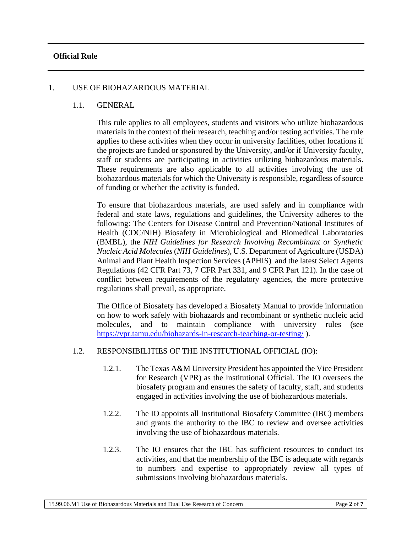### **Official Rule**

### 1. USE OF BIOHAZARDOUS MATERIAL

### 1.1. GENERAL

This rule applies to all employees, students and visitors who utilize biohazardous materials in the context of their research, teaching and/or testing activities. The rule applies to these activities when they occur in university facilities, other locations if the projects are funded or sponsored by the University, and/or if University faculty, staff or students are participating in activities utilizing biohazardous materials. These requirements are also applicable to all activities involving the use of biohazardous materials for which the University is responsible, regardless of source of funding or whether the activity is funded.

To ensure that biohazardous materials, are used safely and in compliance with federal and state laws, regulations and guidelines, the University adheres to the following: The Centers for Disease Control and Prevention/National Institutes of Health (CDC/NIH) Biosafety in Microbiological and Biomedical Laboratories (BMBL), the *NIH Guidelines for Research Involving Recombinant or Synthetic Nucleic Acid Molecules*(*NIH Guidelines*), U.S. Department of Agriculture (USDA) Animal and Plant Health Inspection Services (APHIS) and the latest Select Agents Regulations (42 CFR Part 73, 7 CFR Part 331, and 9 CFR Part 121). In the case of conflict between requirements of the regulatory agencies, the more protective regulations shall prevail, as appropriate.

The Office of Biosafety has developed a Biosafety Manual to provide information on how to work safely with biohazards and recombinant or synthetic nucleic acid molecules, and to maintain compliance with university rules (see <https://vpr.tamu.edu/biohazards-in-research-teaching-or-testing/> ).

### 1.2. RESPONSIBILITIES OF THE INSTITUTIONAL OFFICIAL (IO):

- 1.2.1. The Texas A&M University President has appointed the Vice President for Research (VPR) as the Institutional Official. The IO oversees the biosafety program and ensures the safety of faculty, staff, and students engaged in activities involving the use of biohazardous materials.
- 1.2.2. The IO appoints all Institutional Biosafety Committee (IBC) members and grants the authority to the IBC to review and oversee activities involving the use of biohazardous materials.
- 1.2.3. The IO ensures that the IBC has sufficient resources to conduct its activities, and that the membership of the IBC is adequate with regards to numbers and expertise to appropriately review all types of submissions involving biohazardous materials.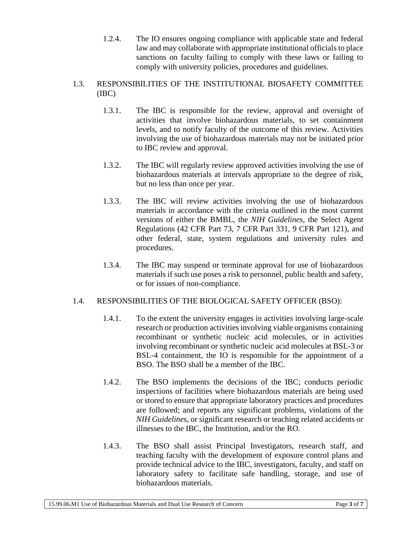1.2.4. The IO ensures ongoing compliance with applicable state and federal law and may collaborate with appropriate institutional officials to place sanctions on faculty failing to comply with these laws or failing to comply with university policies, procedures and guidelines.

# 1.3. RESPONSIBILITIES OF THE INSTITUTIONAL BIOSAFETY COMMITTEE (IBC)

- 1.3.1. The IBC is responsible for the review, approval and oversight of activities that involve biohazardous materials, to set containment levels, and to notify faculty of the outcome of this review. Activities involving the use of biohazardous materials may not be initiated prior to IBC review and approval.
- 1.3.2. The IBC will regularly review approved activities involving the use of biohazardous materials at intervals appropriate to the degree of risk, but no less than once per year.
- 1.3.3. The IBC will review activities involving the use of biohazardous materials in accordance with the criteria outlined in the most current versions of either the BMBL, the *NIH Guidelines*, the Select Agent Regulations (42 CFR Part 73, 7 CFR Part 331, 9 CFR Part 121), and other federal, state, system regulations and university rules and procedures.
- 1.3.4. The IBC may suspend or terminate approval for use of biohazardous materials if such use poses a risk to personnel, public health and safety, or for issues of non-compliance.

# 1.4. RESPONSIBILITIES OF THE BIOLOGICAL SAFETY OFFICER (BSO):

- 1.4.1. To the extent the university engages in activities involving large-scale research or production activities involving viable organisms containing recombinant or synthetic nucleic acid molecules, or in activities involving recombinant or synthetic nucleic acid molecules at BSL-3 or BSL-4 containment, the IO is responsible for the appointment of a BSO. The BSO shall be a member of the IBC.
- 1.4.2. The BSO implements the decisions of the IBC; conducts periodic inspections of facilities where biohazardous materials are being used or stored to ensure that appropriate laboratory practices and procedures are followed; and reports any significant problems, violations of the *NIH Guidelines,* or significant research or teaching related accidents or illnesses to the IBC, the Institution, and/or the RO.
- 1.4.3. The BSO shall assist Principal Investigators, research staff, and teaching faculty with the development of exposure control plans and provide technical advice to the IBC, investigators, faculty, and staff on laboratory safety to facilitate safe handling, storage, and use of biohazardous materials.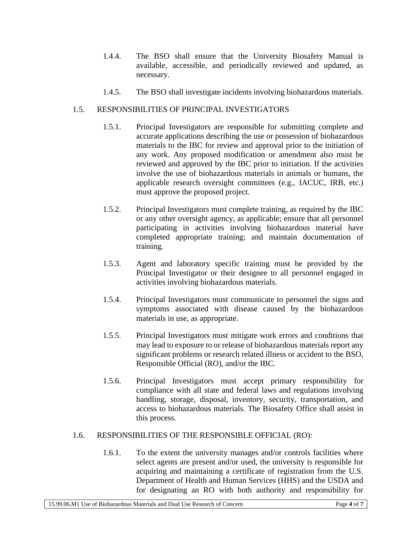- 1.4.4. The BSO shall ensure that the University Biosafety Manual is available, accessible, and periodically reviewed and updated, as necessary.
- 1.4.5. The BSO shall investigate incidents involving biohazardous materials.

# 1.5. RESPONSIBILITIES OF PRINCIPAL INVESTIGATORS

- 1.5.1. Principal Investigators are responsible for submitting complete and accurate applications describing the use or possession of biohazardous materials to the IBC for review and approval prior to the initiation of any work. Any proposed modification or amendment also must be reviewed and approved by the IBC prior to initiation. If the activities involve the use of biohazardous materials in animals or humans, the applicable research oversight committees (e.g., IACUC, IRB, etc.) must approve the proposed project.
- 1.5.2. Principal Investigators must complete training, as required by the IBC or any other oversight agency, as applicable; ensure that all personnel participating in activities involving biohazardous material have completed appropriate training; and maintain documentation of training.
- 1.5.3. Agent and laboratory specific training must be provided by the Principal Investigator or their designee to all personnel engaged in activities involving biohazardous materials.
- 1.5.4. Principal Investigators must communicate to personnel the signs and symptoms associated with disease caused by the biohazardous materials in use, as appropriate.
- 1.5.5. Principal Investigators must mitigate work errors and conditions that may lead to exposure to or release of biohazardous materials report any significant problems or research related illness or accident to the BSO, Responsible Official (RO), and/or the IBC.
- 1.5.6. Principal Investigators must accept primary responsibility for compliance with all state and federal laws and regulations involving handling, storage, disposal, inventory, security, transportation, and access to biohazardous materials. The Biosafety Office shall assist in this process.

# 1.6. RESPONSIBILITIES OF THE RESPONSIBLE OFFICIAL (RO):

1.6.1. To the extent the university manages and/or controls facilities where select agents are present and/or used, the university is responsible for acquiring and maintaining a certificate of registration from the U.S. Department of Health and Human Services (HHS) and the USDA and for designating an RO with both authority and responsibility for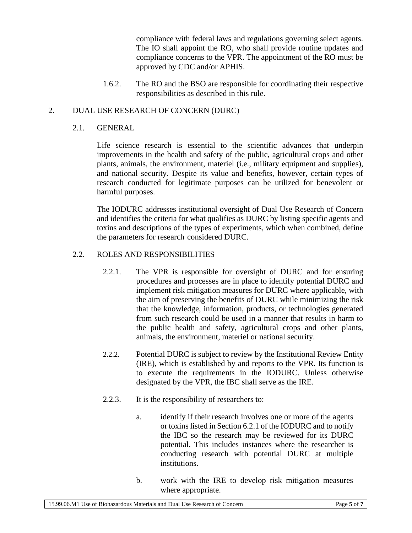compliance with federal laws and regulations governing select agents. The IO shall appoint the RO, who shall provide routine updates and compliance concerns to the VPR. The appointment of the RO must be approved by CDC and/or APHIS.

1.6.2. The RO and the BSO are responsible for coordinating their respective responsibilities as described in this rule.

# 2. DUAL USE RESEARCH OF CONCERN (DURC)

# 2.1. GENERAL

Life science research is essential to the scientific advances that underpin improvements in the health and safety of the public, agricultural crops and other plants, animals, the environment, materiel (i.e., military equipment and supplies), and national security. Despite its value and benefits, however, certain types of research conducted for legitimate purposes can be utilized for benevolent or harmful purposes.

The IODURC addresses institutional oversight of Dual Use Research of Concern and identifies the criteria for what qualifies as DURC by listing specific agents and toxins and descriptions of the types of experiments, which when combined, define the parameters for research considered DURC.

### 2.2. ROLES AND RESPONSIBILITIES

- 2.2.1. The VPR is responsible for oversight of DURC and for ensuring procedures and processes are in place to identify potential DURC and implement risk mitigation measures for DURC where applicable, with the aim of preserving the benefits of DURC while minimizing the risk that the knowledge, information, products, or technologies generated from such research could be used in a manner that results in harm to the public health and safety, agricultural crops and other plants, animals, the environment, materiel or national security.
- 2.2.2. Potential DURC is subject to review by the Institutional Review Entity (IRE), which is established by and reports to the VPR. Its function is to execute the requirements in the IODURC*.* Unless otherwise designated by the VPR, the IBC shall serve as the IRE.
- 2.2.3. It is the responsibility of researchers to:
	- a. identify if their research involves one or more of the agents or toxins listed in Section 6.2.1 of the IODURC and to notify the IBC so the research may be reviewed for its DURC potential. This includes instances where the researcher is conducting research with potential DURC at multiple institutions.
	- b. work with the IRE to develop risk mitigation measures where appropriate.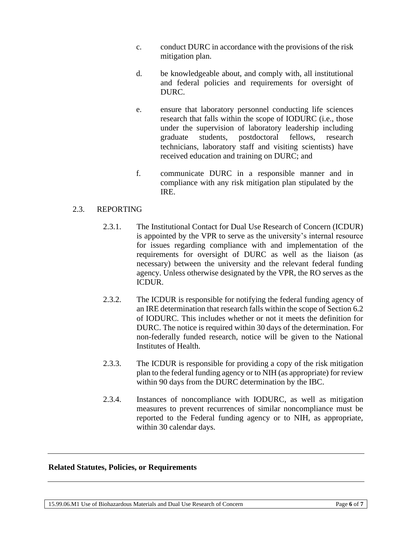- c. conduct DURC in accordance with the provisions of the risk mitigation plan.
- d. be knowledgeable about, and comply with, all institutional and federal policies and requirements for oversight of DURC.
- e. ensure that laboratory personnel conducting life sciences research that falls within the scope of IODURC (i.e., those under the supervision of laboratory leadership including graduate students, postdoctoral fellows, research technicians, laboratory staff and visiting scientists) have received education and training on DURC; and
- f. communicate DURC in a responsible manner and in compliance with any risk mitigation plan stipulated by the IRE.

### 2.3. REPORTING

- 2.3.1. The Institutional Contact for Dual Use Research of Concern (ICDUR) is appointed by the VPR to serve as the university's internal resource for issues regarding compliance with and implementation of the requirements for oversight of DURC as well as the liaison (as necessary) between the university and the relevant federal funding agency. Unless otherwise designated by the VPR, the RO serves as the ICDUR.
- 2.3.2. The ICDUR is responsible for notifying the federal funding agency of an IRE determination that research falls within the scope of Section 6.2 of IODURC. This includes whether or not it meets the definition for DURC. The notice is required within 30 days of the determination. For non-federally funded research, notice will be given to the National Institutes of Health.
- 2.3.3. The ICDUR is responsible for providing a copy of the risk mitigation plan to the federal funding agency or to NIH (as appropriate) for review within 90 days from the DURC determination by the IBC.
- 2.3.4. Instances of noncompliance with IODURC, as well as mitigation measures to prevent recurrences of similar noncompliance must be reported to the Federal funding agency or to NIH, as appropriate, within 30 calendar days.

### **Related Statutes, Policies, or Requirements**